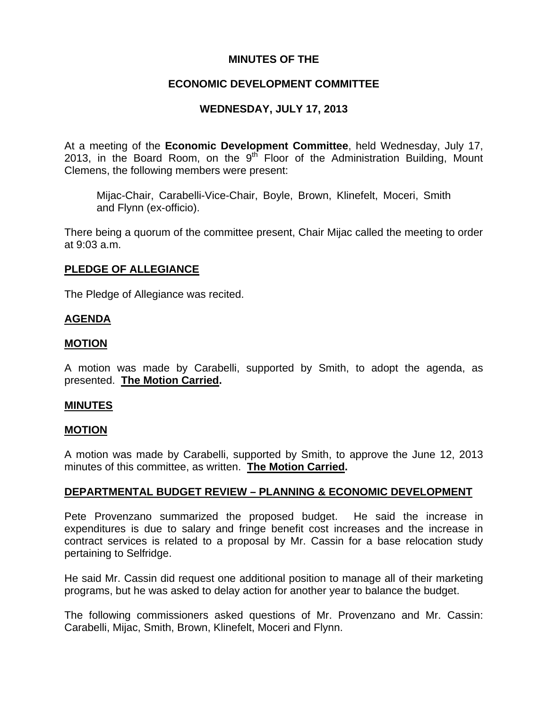## **MINUTES OF THE**

## **ECONOMIC DEVELOPMENT COMMITTEE**

# **WEDNESDAY, JULY 17, 2013**

At a meeting of the **Economic Development Committee**, held Wednesday, July 17, 2013, in the Board Room, on the  $9<sup>th</sup>$  Floor of the Administration Building. Mount Clemens, the following members were present:

Mijac-Chair, Carabelli-Vice-Chair, Boyle, Brown, Klinefelt, Moceri, Smith and Flynn (ex-officio).

There being a quorum of the committee present, Chair Mijac called the meeting to order at 9:03 a.m.

## **PLEDGE OF ALLEGIANCE**

The Pledge of Allegiance was recited.

## **AGENDA**

## **MOTION**

A motion was made by Carabelli, supported by Smith, to adopt the agenda, as presented. **The Motion Carried.** 

#### **MINUTES**

#### **MOTION**

A motion was made by Carabelli, supported by Smith, to approve the June 12, 2013 minutes of this committee, as written. **The Motion Carried.** 

#### **DEPARTMENTAL BUDGET REVIEW – PLANNING & ECONOMIC DEVELOPMENT**

Pete Provenzano summarized the proposed budget. He said the increase in expenditures is due to salary and fringe benefit cost increases and the increase in contract services is related to a proposal by Mr. Cassin for a base relocation study pertaining to Selfridge.

He said Mr. Cassin did request one additional position to manage all of their marketing programs, but he was asked to delay action for another year to balance the budget.

The following commissioners asked questions of Mr. Provenzano and Mr. Cassin: Carabelli, Mijac, Smith, Brown, Klinefelt, Moceri and Flynn.